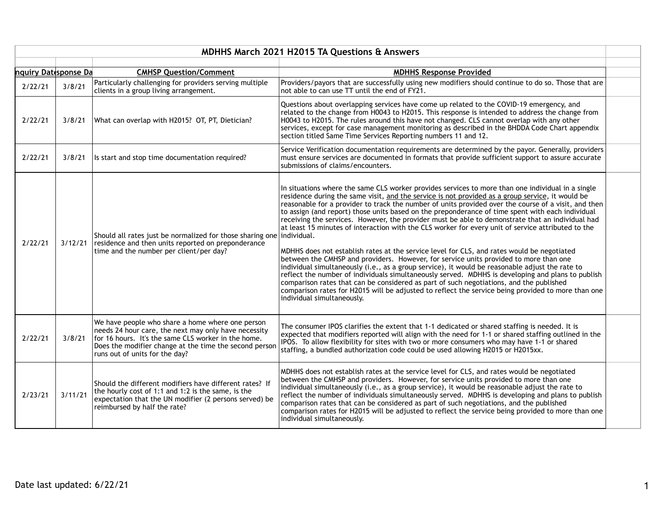|                      | <b>MDHHS March 2021 H2015 TA Questions &amp; Answers</b> |                                                                                                                                                                                                                                                             |                                                                                                                                                                                                                                                                                                                                                                                                                                                                                                                                                                                                                                                                                                                                                                                                                                                                                                                                                                                                                                                                                                                                                                                                                                                           |  |  |
|----------------------|----------------------------------------------------------|-------------------------------------------------------------------------------------------------------------------------------------------------------------------------------------------------------------------------------------------------------------|-----------------------------------------------------------------------------------------------------------------------------------------------------------------------------------------------------------------------------------------------------------------------------------------------------------------------------------------------------------------------------------------------------------------------------------------------------------------------------------------------------------------------------------------------------------------------------------------------------------------------------------------------------------------------------------------------------------------------------------------------------------------------------------------------------------------------------------------------------------------------------------------------------------------------------------------------------------------------------------------------------------------------------------------------------------------------------------------------------------------------------------------------------------------------------------------------------------------------------------------------------------|--|--|
| nquiry Datesponse Da |                                                          | <b>CMHSP Question/Comment</b>                                                                                                                                                                                                                               | <b>MDHHS Response Provided</b>                                                                                                                                                                                                                                                                                                                                                                                                                                                                                                                                                                                                                                                                                                                                                                                                                                                                                                                                                                                                                                                                                                                                                                                                                            |  |  |
| 2/22/21              | 3/8/21                                                   | Particularly challenging for providers serving multiple<br>clients in a group living arrangement.                                                                                                                                                           | Providers/payors that are successfully using new modifiers should continue to do so. Those that are<br>not able to can use TT until the end of FY21.                                                                                                                                                                                                                                                                                                                                                                                                                                                                                                                                                                                                                                                                                                                                                                                                                                                                                                                                                                                                                                                                                                      |  |  |
| 2/22/21              | 3/8/21                                                   | What can overlap with H2015? OT, PT, Dietician?                                                                                                                                                                                                             | Questions about overlapping services have come up related to the COVID-19 emergency, and<br>related to the change from H0043 to H2015. This response is intended to address the change from<br>H0043 to H2015. The rules around this have not changed. CLS cannot overlap with any other<br>services, except for case management monitoring as described in the BHDDA Code Chart appendix<br>section titled Same Time Services Reporting numbers 11 and 12.                                                                                                                                                                                                                                                                                                                                                                                                                                                                                                                                                                                                                                                                                                                                                                                               |  |  |
| 2/22/21              | 3/8/21                                                   | Is start and stop time documentation required?                                                                                                                                                                                                              | Service Verification documentation requirements are determined by the payor. Generally, providers<br>must ensure services are documented in formats that provide sufficient support to assure accurate<br>submissions of claims/encounters.                                                                                                                                                                                                                                                                                                                                                                                                                                                                                                                                                                                                                                                                                                                                                                                                                                                                                                                                                                                                               |  |  |
| 2/22/21              | 3/12/21                                                  | Should all rates just be normalized for those sharing one   individual.<br>residence and then units reported on preponderance<br>time and the number per client/per day?                                                                                    | In situations where the same CLS worker provides services to more than one individual in a single<br>residence during the same visit, and the service is not provided as a group service, it would be<br>reasonable for a provider to track the number of units provided over the course of a visit, and then<br>to assign (and report) those units based on the preponderance of time spent with each individual<br>receiving the services. However, the provider must be able to demonstrate that an individual had<br>at least 15 minutes of interaction with the CLS worker for every unit of service attributed to the<br>MDHHS does not establish rates at the service level for CLS, and rates would be negotiated<br>between the CMHSP and providers. However, for service units provided to more than one<br>individual simultaneously (i.e., as a group service), it would be reasonable adjust the rate to<br>reflect the number of individuals simultaneously served. MDHHS is developing and plans to publish<br>comparison rates that can be considered as part of such negotiations, and the published<br>comparison rates for H2015 will be adjusted to reflect the service being provided to more than one<br>individual simultaneously. |  |  |
| 2/22/21              | 3/8/21                                                   | We have people who share a home where one person<br>needs 24 hour care, the next may only have necessity<br>for 16 hours. It's the same CLS worker in the home.<br>Does the modifier change at the time the second person<br>runs out of units for the day? | The consumer IPOS clarifies the extent that 1-1 dedicated or shared staffing is needed. It is<br>expected that modifiers reported will align with the need for 1-1 or shared staffing outlined in the<br>IPOS. To allow flexibility for sites with two or more consumers who may have 1-1 or shared<br>staffing, a bundled authorization code could be used allowing H2015 or H2015xx.                                                                                                                                                                                                                                                                                                                                                                                                                                                                                                                                                                                                                                                                                                                                                                                                                                                                    |  |  |
| 2/23/21              | 3/11/21                                                  | Should the different modifiers have different rates? If<br>the hourly cost of 1:1 and 1:2 is the same, is the<br>expectation that the UN modifier (2 persons served) be<br>reimbursed by half the rate?                                                     | MDHHS does not establish rates at the service level for CLS, and rates would be negotiated<br>between the CMHSP and providers. However, for service units provided to more than one<br>individual simultaneously (i.e., as a group service), it would be reasonable adjust the rate to<br>reflect the number of individuals simultaneously served. MDHHS is developing and plans to publish<br>comparison rates that can be considered as part of such negotiations, and the published<br>comparison rates for H2015 will be adjusted to reflect the service being provided to more than one<br>individual simultaneously.                                                                                                                                                                                                                                                                                                                                                                                                                                                                                                                                                                                                                                |  |  |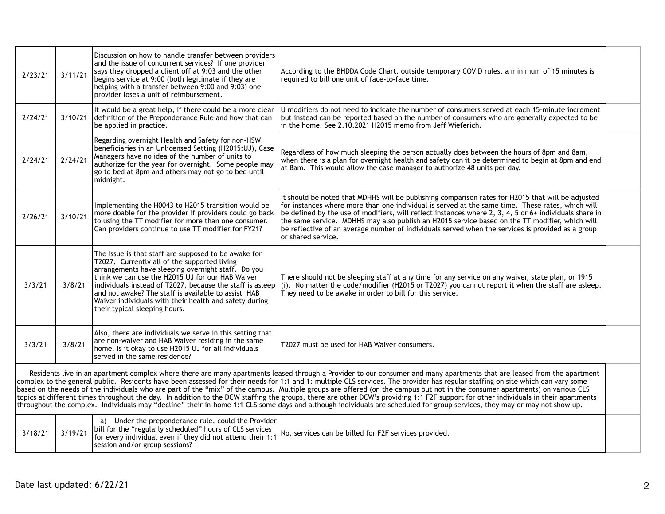| 2/23/21                                                                                                                                                                                                                                                                                                                                                                                                                                                                                                                                                                                                                                                                                                                                                                                                                                                                                                        | 3/11/21 | Discussion on how to handle transfer between providers<br>and the issue of concurrent services? If one provider<br>says they dropped a client off at 9:03 and the other<br>begins service at 9:00 (both legitimate if they are<br>helping with a transfer between 9:00 and 9:03) one<br>provider loses a unit of reimbursement.                                                                                               | According to the BHDDA Code Chart, outside temporary COVID rules, a minimum of 15 minutes is<br>required to bill one unit of face-to-face time.                                                                                                                                                                                                                                                                                                                                                                                              |  |
|----------------------------------------------------------------------------------------------------------------------------------------------------------------------------------------------------------------------------------------------------------------------------------------------------------------------------------------------------------------------------------------------------------------------------------------------------------------------------------------------------------------------------------------------------------------------------------------------------------------------------------------------------------------------------------------------------------------------------------------------------------------------------------------------------------------------------------------------------------------------------------------------------------------|---------|-------------------------------------------------------------------------------------------------------------------------------------------------------------------------------------------------------------------------------------------------------------------------------------------------------------------------------------------------------------------------------------------------------------------------------|----------------------------------------------------------------------------------------------------------------------------------------------------------------------------------------------------------------------------------------------------------------------------------------------------------------------------------------------------------------------------------------------------------------------------------------------------------------------------------------------------------------------------------------------|--|
| 2/24/21                                                                                                                                                                                                                                                                                                                                                                                                                                                                                                                                                                                                                                                                                                                                                                                                                                                                                                        | 3/10/21 | It would be a great help, if there could be a more clear<br>definition of the Preponderance Rule and how that can<br>be applied in practice.                                                                                                                                                                                                                                                                                  | U modifiers do not need to indicate the number of consumers served at each 15-minute increment<br>but instead can be reported based on the number of consumers who are generally expected to be<br>in the home. See 2.10.2021 H2015 memo from Jeff Wieferich.                                                                                                                                                                                                                                                                                |  |
| 2/24/21                                                                                                                                                                                                                                                                                                                                                                                                                                                                                                                                                                                                                                                                                                                                                                                                                                                                                                        | 2/24/21 | Regarding overnight Health and Safety for non-HSW<br>beneficiaries in an Unlicensed Setting (H2015:UJ), Case<br>Managers have no idea of the number of units to<br>authorize for the year for overnight. Some people may<br>go to bed at 8pm and others may not go to bed until<br>midnight.                                                                                                                                  | Regardless of how much sleeping the person actually does between the hours of 8pm and 8am,<br>when there is a plan for overnight health and safety can it be determined to begin at 8pm and end<br>at 8am. This would allow the case manager to authorize 48 units per day.                                                                                                                                                                                                                                                                  |  |
| 2/26/21                                                                                                                                                                                                                                                                                                                                                                                                                                                                                                                                                                                                                                                                                                                                                                                                                                                                                                        | 3/10/21 | Implementing the H0043 to H2015 transition would be<br>more doable for the provider if providers could go back<br>to using the TT modifier for more than one consumer.<br>Can providers continue to use TT modifier for FY21?                                                                                                                                                                                                 | It should be noted that MDHHS will be publishing comparison rates for H2015 that will be adjusted<br>for instances where more than one individual is served at the same time. These rates, which will<br>be defined by the use of modifiers, will reflect instances where 2, 3, 4, 5 or 6+ individuals share in<br>the same service. MDHHS may also publish an H2015 service based on the TT modifier, which will<br>be reflective of an average number of individuals served when the services is provided as a group<br>or shared service. |  |
| 3/3/21                                                                                                                                                                                                                                                                                                                                                                                                                                                                                                                                                                                                                                                                                                                                                                                                                                                                                                         | 3/8/21  | The issue is that staff are supposed to be awake for<br>T2027. Currently all of the supported living<br>arrangements have sleeping overnight staff. Do you<br>think we can use the H2015 UJ for our HAB Waiver<br>individuals instead of T2027, because the staff is asleep<br>and not awake? The staff is available to assist HAB<br>Waiver individuals with their health and safety during<br>their typical sleeping hours. | There should not be sleeping staff at any time for any service on any waiver, state plan, or 1915<br>(i). No matter the code/modifier (H2015 or T2027) you cannot report it when the staff are asleep.<br>They need to be awake in order to bill for this service.                                                                                                                                                                                                                                                                           |  |
| 3/3/21                                                                                                                                                                                                                                                                                                                                                                                                                                                                                                                                                                                                                                                                                                                                                                                                                                                                                                         | 3/8/21  | Also, there are individuals we serve in this setting that<br>are non-waiver and HAB Waiver residing in the same<br>home. Is it okay to use H2015 UJ for all individuals<br>served in the same residence?                                                                                                                                                                                                                      | T2027 must be used for HAB Waiver consumers.                                                                                                                                                                                                                                                                                                                                                                                                                                                                                                 |  |
| Residents live in an apartment complex where there are many apartments leased through a Provider to our consumer and many apartments that are leased from the apartment<br>complex to the general public. Residents have been assessed for their needs for 1:1 and 1: multiple CLS services. The provider has regular staffing on site which can vary some<br>based on the needs of the individuals who are part of the "mix" of the campus. Multiple groups are offered (on the campus but not in the consumer apartments) on various CLS<br>topics at different times throughout the day. In addition to the DCW staffing the groups, there are other DCW's providing 1:1 F2F support for other individuals in their apartments<br>throughout the complex. Individuals may "decline" their in-home 1:1 CLS some days and although individuals are scheduled for group services, they may or may not show up. |         |                                                                                                                                                                                                                                                                                                                                                                                                                               |                                                                                                                                                                                                                                                                                                                                                                                                                                                                                                                                              |  |
| 3/18/21                                                                                                                                                                                                                                                                                                                                                                                                                                                                                                                                                                                                                                                                                                                                                                                                                                                                                                        | 3/19/21 | a) Under the preponderance rule, could the Provider<br>bill for the "regularly scheduled" hours of CLS services<br>for every individual even if they did not attend their 1:1<br>session and/or group sessions?                                                                                                                                                                                                               | No, services can be billed for F2F services provided.                                                                                                                                                                                                                                                                                                                                                                                                                                                                                        |  |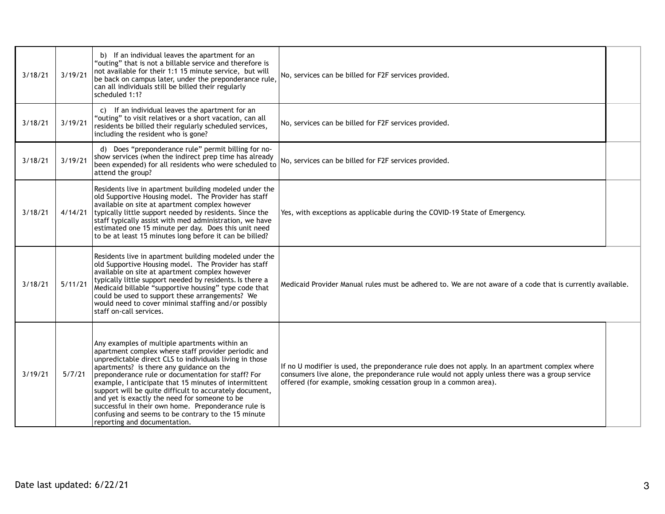| 3/18/21 | 3/19/21 | b) If an individual leaves the apartment for an<br>"outing" that is not a billable service and therefore is<br>not available for their 1:1 15 minute service, but will<br>be back on campus later, under the preponderance rule,<br>can all individuals still be billed their regularly<br>scheduled 1:1?                                                                                                                                                                                                                                                                            | No, services can be billed for F2F services provided.                                                                                                                                                                                                               |  |
|---------|---------|--------------------------------------------------------------------------------------------------------------------------------------------------------------------------------------------------------------------------------------------------------------------------------------------------------------------------------------------------------------------------------------------------------------------------------------------------------------------------------------------------------------------------------------------------------------------------------------|---------------------------------------------------------------------------------------------------------------------------------------------------------------------------------------------------------------------------------------------------------------------|--|
| 3/18/21 | 3/19/21 | c) If an individual leaves the apartment for an<br>"outing" to visit relatives or a short vacation, can all<br>residents be billed their regularly scheduled services,<br>including the resident who is gone?                                                                                                                                                                                                                                                                                                                                                                        | No, services can be billed for F2F services provided.                                                                                                                                                                                                               |  |
| 3/18/21 | 3/19/21 | d) Does "preponderance rule" permit billing for no-<br>show services (when the indirect prep time has already<br>been expended) for all residents who were scheduled to<br>attend the group?                                                                                                                                                                                                                                                                                                                                                                                         | No, services can be billed for F2F services provided.                                                                                                                                                                                                               |  |
| 3/18/21 | 4/14/21 | Residents live in apartment building modeled under the<br>old Supportive Housing model. The Provider has staff<br>available on site at apartment complex however<br>typically little support needed by residents. Since the<br>staff typically assist with med administration, we have<br>estimated one 15 minute per day. Does this unit need<br>to be at least 15 minutes long before it can be billed?                                                                                                                                                                            | Yes, with exceptions as applicable during the COVID-19 State of Emergency.                                                                                                                                                                                          |  |
| 3/18/21 | 5/11/21 | Residents live in apartment building modeled under the<br>old Supportive Housing model. The Provider has staff<br>available on site at apartment complex however<br>typically little support needed by residents. Is there a<br>Medicaid billable "supportive housing" type code that<br>could be used to support these arrangements? We<br>would need to cover minimal staffing and/or possibly<br>staff on-call services.                                                                                                                                                          | Medicaid Provider Manual rules must be adhered to. We are not aware of a code that is currently available.                                                                                                                                                          |  |
| 3/19/21 | 5/7/21  | Any examples of multiple apartments within an<br>apartment complex where staff provider periodic and<br>unpredictable direct CLS to individuals living in those<br>apartments? is there any guidance on the<br>preponderance rule or documentation for staff? For<br>example, I anticipate that 15 minutes of intermittent<br>support will be quite difficult to accurately document,<br>and yet is exactly the need for someone to be<br>successful in their own home. Preponderance rule is<br>confusing and seems to be contrary to the 15 minute<br>reporting and documentation. | If no U modifier is used, the preponderance rule does not apply. In an apartment complex where<br>consumers live alone, the preponderance rule would not apply unless there was a group service<br>offered (for example, smoking cessation group in a common area). |  |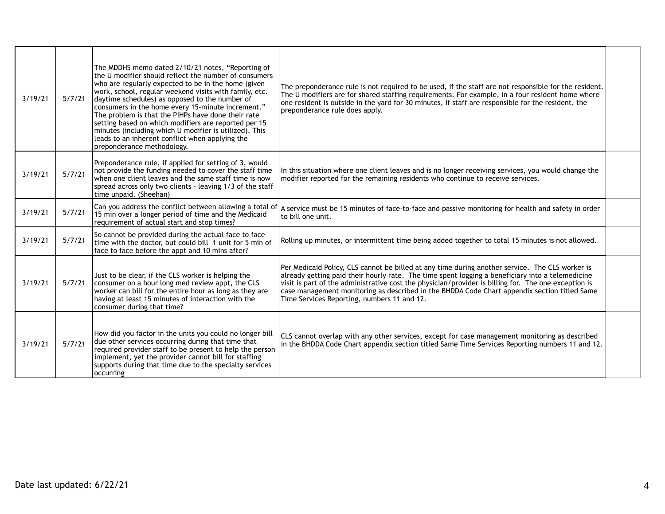|         |        | The MDDHS memo dated 2/10/21 notes, "Reporting of<br>the U modifier should reflect the number of consumers<br>who are regularly expected to be in the home (given<br>work, school, regular weekend visits with family, etc.                                                                                                                                  | The preponderance rule is not required to be used, if the staff are not responsible for the resident.<br>The U modifiers are for shared staffing requirements. For example, in a four resident home where                                                                                                                                                                                                                                                  |  |
|---------|--------|--------------------------------------------------------------------------------------------------------------------------------------------------------------------------------------------------------------------------------------------------------------------------------------------------------------------------------------------------------------|------------------------------------------------------------------------------------------------------------------------------------------------------------------------------------------------------------------------------------------------------------------------------------------------------------------------------------------------------------------------------------------------------------------------------------------------------------|--|
| 3/19/21 | 5/7/21 | daytime schedules) as opposed to the number of<br>consumers in the home every 15-minute increment."<br>The problem is that the PIHPs have done their rate<br>setting based on which modifiers are reported per 15<br>minutes (including which U modifier is utilized). This<br>leads to an inherent conflict when applying the<br>preponderance methodology. | one resident is outside in the yard for 30 minutes, if staff are responsible for the resident, the<br>preponderance rule does apply.                                                                                                                                                                                                                                                                                                                       |  |
| 3/19/21 | 5/7/21 | Preponderance rule, if applied for setting of 3, would<br>not provide the funding needed to cover the staff time<br>when one client leaves and the same staff time is now<br>spread across only two clients - leaving 1/3 of the staff<br>time unpaid. (Sheehan)                                                                                             | In this situation where one client leaves and is no longer receiving services, you would change the<br>modifier reported for the remaining residents who continue to receive services.                                                                                                                                                                                                                                                                     |  |
| 3/19/21 | 5/7/21 | Can you address the conflict between allowing a total of<br>15 min over a longer period of time and the Medicaid<br>requirement of actual start and stop times?                                                                                                                                                                                              | A service must be 15 minutes of face-to-face and passive monitoring for health and safety in order<br>to bill one unit.                                                                                                                                                                                                                                                                                                                                    |  |
| 3/19/21 | 5/7/21 | So cannot be provided during the actual face to face<br>time with the doctor, but could bill 1 unit for 5 min of<br>face to face before the appt and 10 mins after?                                                                                                                                                                                          | Rolling up minutes, or intermittent time being added together to total 15 minutes is not allowed.                                                                                                                                                                                                                                                                                                                                                          |  |
| 3/19/21 | 5/7/21 | Just to be clear, if the CLS worker is helping the<br>consumer on a hour long med review appt, the CLS<br>worker can bill for the entire hour as long as they are<br>having at least 15 minutes of interaction with the<br>consumer during that time?                                                                                                        | Per Medicaid Policy, CLS cannot be billed at any time during another service. The CLS worker is<br>already getting paid their hourly rate. The time spent logging a beneficiary into a telemedicine<br>visit is part of the administrative cost the physician/provider is billing for. The one exception is<br>case management monitoring as described in the BHDDA Code Chart appendix section titled Same<br>Time Services Reporting, numbers 11 and 12. |  |
| 3/19/21 | 5/7/21 | How did you factor in the units you could no longer bill<br>due other services occurring during that time that<br>required provider staff to be present to help the person<br>implement, yet the provider cannot bill for staffing<br>supports during that time due to the specialty services<br><b>occurring</b>                                            | CLS cannot overlap with any other services, except for case management monitoring as described<br>in the BHDDA Code Chart appendix section titled Same Time Services Reporting numbers 11 and 12.                                                                                                                                                                                                                                                          |  |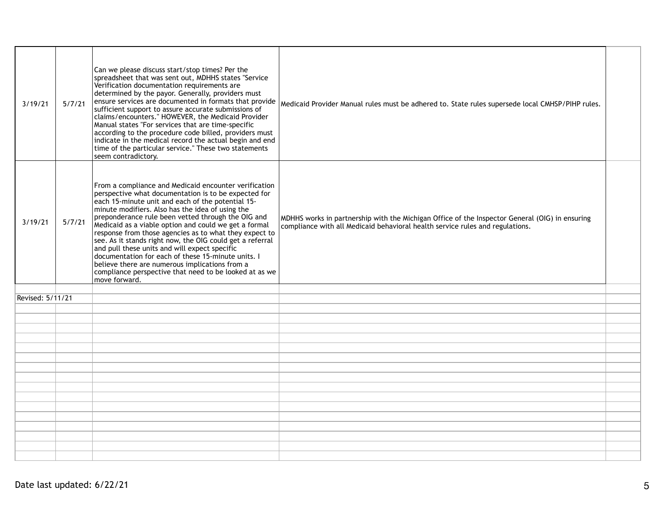| 3/19/21          | 5/7/21 | Can we please discuss start/stop times? Per the<br>spreadsheet that was sent out, MDHHS states "Service<br>Verification documentation requirements are<br>determined by the payor. Generally, providers must<br>ensure services are documented in formats that provide<br>sufficient support to assure accurate submissions of<br>claims/encounters." HOWEVER, the Medicaid Provider<br>Manual states "For services that are time-specific<br>according to the procedure code billed, providers must<br>indicate in the medical record the actual begin and end<br>time of the particular service." These two statements<br>seem contradictory.                                                  | Medicaid Provider Manual rules must be adhered to. State rules supersede local CMHSP/PIHP rules.                                                                                |  |
|------------------|--------|--------------------------------------------------------------------------------------------------------------------------------------------------------------------------------------------------------------------------------------------------------------------------------------------------------------------------------------------------------------------------------------------------------------------------------------------------------------------------------------------------------------------------------------------------------------------------------------------------------------------------------------------------------------------------------------------------|---------------------------------------------------------------------------------------------------------------------------------------------------------------------------------|--|
| 3/19/21          | 5/7/21 | From a compliance and Medicaid encounter verification<br>perspective what documentation is to be expected for<br>each 15-minute unit and each of the potential 15-<br>minute modifiers. Also has the idea of using the<br>preponderance rule been vetted through the OIG and<br>Medicaid as a viable option and could we get a formal<br>response from those agencies as to what they expect to<br>see. As it stands right now, the OIG could get a referral<br>and pull these units and will expect specific<br>documentation for each of these 15-minute units. I<br>believe there are numerous implications from a<br>compliance perspective that need to be looked at as we<br>move forward. | MDHHS works in partnership with the Michigan Office of the Inspector General (OIG) in ensuring<br>compliance with all Medicaid behavioral health service rules and regulations. |  |
|                  |        |                                                                                                                                                                                                                                                                                                                                                                                                                                                                                                                                                                                                                                                                                                  |                                                                                                                                                                                 |  |
| Revised: 5/11/21 |        |                                                                                                                                                                                                                                                                                                                                                                                                                                                                                                                                                                                                                                                                                                  |                                                                                                                                                                                 |  |
|                  |        |                                                                                                                                                                                                                                                                                                                                                                                                                                                                                                                                                                                                                                                                                                  |                                                                                                                                                                                 |  |
|                  |        |                                                                                                                                                                                                                                                                                                                                                                                                                                                                                                                                                                                                                                                                                                  |                                                                                                                                                                                 |  |
|                  |        |                                                                                                                                                                                                                                                                                                                                                                                                                                                                                                                                                                                                                                                                                                  |                                                                                                                                                                                 |  |
|                  |        |                                                                                                                                                                                                                                                                                                                                                                                                                                                                                                                                                                                                                                                                                                  |                                                                                                                                                                                 |  |
|                  |        |                                                                                                                                                                                                                                                                                                                                                                                                                                                                                                                                                                                                                                                                                                  |                                                                                                                                                                                 |  |
|                  |        |                                                                                                                                                                                                                                                                                                                                                                                                                                                                                                                                                                                                                                                                                                  |                                                                                                                                                                                 |  |
|                  |        |                                                                                                                                                                                                                                                                                                                                                                                                                                                                                                                                                                                                                                                                                                  |                                                                                                                                                                                 |  |
|                  |        |                                                                                                                                                                                                                                                                                                                                                                                                                                                                                                                                                                                                                                                                                                  |                                                                                                                                                                                 |  |
|                  |        |                                                                                                                                                                                                                                                                                                                                                                                                                                                                                                                                                                                                                                                                                                  |                                                                                                                                                                                 |  |
|                  |        |                                                                                                                                                                                                                                                                                                                                                                                                                                                                                                                                                                                                                                                                                                  |                                                                                                                                                                                 |  |
|                  |        |                                                                                                                                                                                                                                                                                                                                                                                                                                                                                                                                                                                                                                                                                                  |                                                                                                                                                                                 |  |
|                  |        |                                                                                                                                                                                                                                                                                                                                                                                                                                                                                                                                                                                                                                                                                                  |                                                                                                                                                                                 |  |
|                  |        |                                                                                                                                                                                                                                                                                                                                                                                                                                                                                                                                                                                                                                                                                                  |                                                                                                                                                                                 |  |
|                  |        |                                                                                                                                                                                                                                                                                                                                                                                                                                                                                                                                                                                                                                                                                                  |                                                                                                                                                                                 |  |
|                  |        |                                                                                                                                                                                                                                                                                                                                                                                                                                                                                                                                                                                                                                                                                                  |                                                                                                                                                                                 |  |
|                  |        |                                                                                                                                                                                                                                                                                                                                                                                                                                                                                                                                                                                                                                                                                                  |                                                                                                                                                                                 |  |